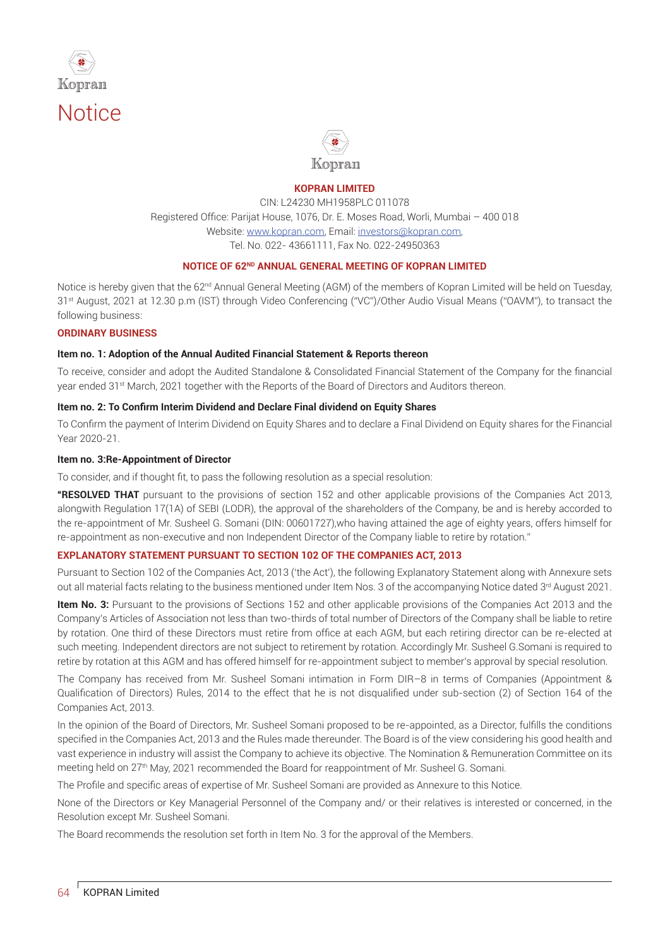



#### **KOPRAN LIMITED**

CIN: L24230 MH1958PLC 011078 Registered Office: Parijat House, 1076, Dr. E. Moses Road, Worli, Mumbai - 400 018 Website: www.kopran.com, Email: investors@kopran.com, Tel. No. 022- 43661111, Fax No. 022-24950363

#### **NOTICE OF 62ND ANNUAL GENERAL MEETING OF KOPRAN LIMITED**

Notice is hereby given that the 62<sup>nd</sup> Annual General Meeting (AGM) of the members of Kopran Limited will be held on Tuesday, 31<sup>st</sup> August, 2021 at 12.30 p.m (IST) through Video Conferencing ("VC")/Other Audio Visual Means ("OAVM"), to transact the following business:

#### **ORDINARY BUSINESS**

#### **Item no. 1: Adoption of the Annual Audited Financial Statement & Reports thereon**

To receive, consider and adopt the Audited Standalone & Consolidated Financial Statement of the Company for the financial year ended 31st March, 2021 together with the Reports of the Board of Directors and Auditors thereon.

#### Item no. 2: To Confirm Interim Dividend and Declare Final dividend on Equity Shares

To Confirm the payment of Interim Dividend on Equity Shares and to declare a Final Dividend on Equity shares for the Financial Year 2020-21.

#### **Item no. 3:Re-Appointment of Director**

To consider, and if thought fit, to pass the following resolution as a special resolution:

**"RESOLVED THAT** pursuant to the provisions of section 152 and other applicable provisions of the Companies Act 2013, alongwith Regulation 17(1A) of SEBI (LODR), the approval of the shareholders of the Company, be and is hereby accorded to the re-appointment of Mr. Susheel G. Somani (DIN: 00601727),who having attained the age of eighty years, offers himself for re-appointment as non-executive and non Independent Director of the Company liable to retire by rotation."

### **EXPLANATORY STATEMENT PURSUANT TO SECTION 102 OF THE COMPANIES ACT, 2013**

Pursuant to Section 102 of the Companies Act, 2013 ('the Act'), the following Explanatory Statement along with Annexure sets out all material facts relating to the business mentioned under Item Nos. 3 of the accompanying Notice dated 3<sup>rd</sup> August 2021.

**Item No. 3:** Pursuant to the provisions of Sections 152 and other applicable provisions of the Companies Act 2013 and the Company's Articles of Association not less than two-thirds of total number of Directors of the Company shall be liable to retire by rotation. One third of these Directors must retire from office at each AGM, but each retiring director can be re-elected at such meeting. Independent directors are not subject to retirement by rotation. Accordingly Mr. Susheel G.Somani is required to retire by rotation at this AGM and has offered himself for re-appointment subject to member's approval by special resolution.

The Company has received from Mr. Susheel Somani intimation in Form DIR-8 in terms of Companies (Appointment & Qualification of Directors) Rules, 2014 to the effect that he is not disqualified under sub-section (2) of Section 164 of the Companies Act, 2013.

In the opinion of the Board of Directors, Mr. Susheel Somani proposed to be re-appointed, as a Director, fulfills the conditions specified in the Companies Act, 2013 and the Rules made thereunder. The Board is of the view considering his good health and vast experience in industry will assist the Company to achieve its objective. The Nomination & Remuneration Committee on its meeting held on 27<sup>th</sup> May, 2021 recommended the Board for reappointment of Mr. Susheel G. Somani.

The Profile and specific areas of expertise of Mr. Susheel Somani are provided as Annexure to this Notice.

None of the Directors or Key Managerial Personnel of the Company and/ or their relatives is interested or concerned, in the Resolution except Mr. Susheel Somani.

The Board recommends the resolution set forth in Item No. 3 for the approval of the Members.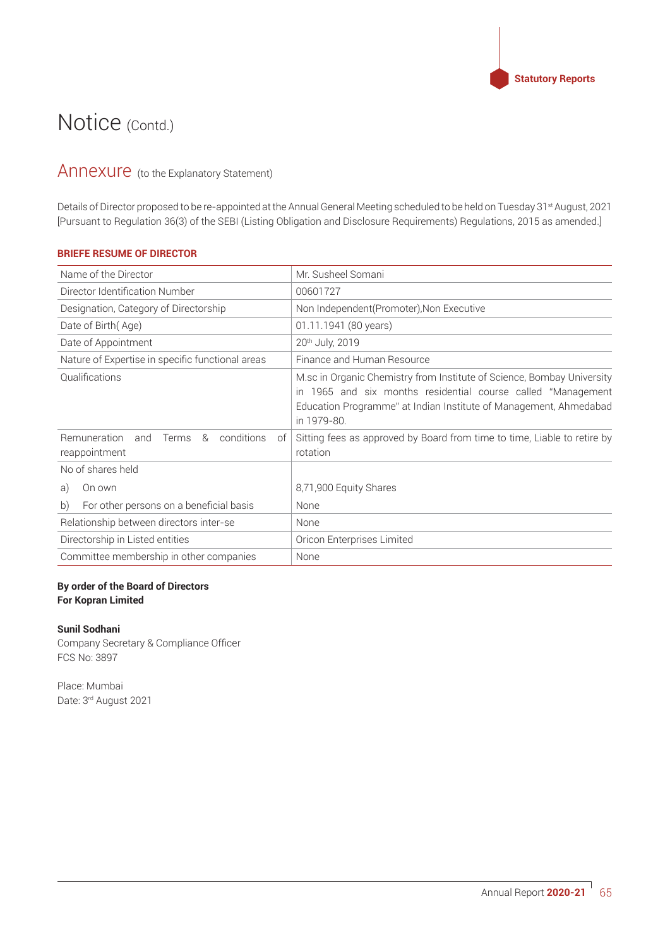

## Annexure (to the Explanatory Statement)

Details of Director proposed to be re-appointed at the Annual General Meeting scheduled to be held on Tuesday 31<sup>st</sup> August, 2021 [Pursuant to Regulation 36(3) of the SEBI (Listing Obligation and Disclosure Requirements) Regulations, 2015 as amended.]

## **BRIEFE RESUME OF DIRECTOR**

| Name of the Director                                                          | Mr. Susheel Somani                                                                                                                                                                                                            |
|-------------------------------------------------------------------------------|-------------------------------------------------------------------------------------------------------------------------------------------------------------------------------------------------------------------------------|
| Director Identification Number                                                | 00601727                                                                                                                                                                                                                      |
| Designation, Category of Directorship                                         | Non Independent(Promoter), Non Executive                                                                                                                                                                                      |
| Date of Birth (Age)                                                           | 01.11.1941 (80 years)                                                                                                                                                                                                         |
| Date of Appointment                                                           | 20 <sup>th</sup> July, 2019                                                                                                                                                                                                   |
| Nature of Expertise in specific functional areas                              | Finance and Human Resource                                                                                                                                                                                                    |
| Qualifications                                                                | M.sc in Organic Chemistry from Institute of Science, Bombay University<br>1965 and six months residential course called "Management<br>in<br>Education Programme" at Indian Institute of Management, Ahmedabad<br>in 1979-80. |
| conditions<br><b>Remuneration</b><br>&<br>and<br>Terms<br>of<br>reappointment | Sitting fees as approved by Board from time to time, Liable to retire by<br>rotation                                                                                                                                          |
| No of shares held                                                             |                                                                                                                                                                                                                               |
| On own<br>a)                                                                  | 8,71,900 Equity Shares                                                                                                                                                                                                        |
| b)<br>For other persons on a beneficial basis                                 | None                                                                                                                                                                                                                          |
| Relationship between directors inter-se                                       | None                                                                                                                                                                                                                          |
| Directorship in Listed entities                                               | Oricon Enterprises Limited                                                                                                                                                                                                    |
| Committee membership in other companies                                       | None                                                                                                                                                                                                                          |

## **By order of the Board of Directors For Kopran Limited**

#### **Sunil Sodhani**

Company Secretary & Compliance Officer FCS No: 3897

Place: Mumbai Date: 3rd August 2021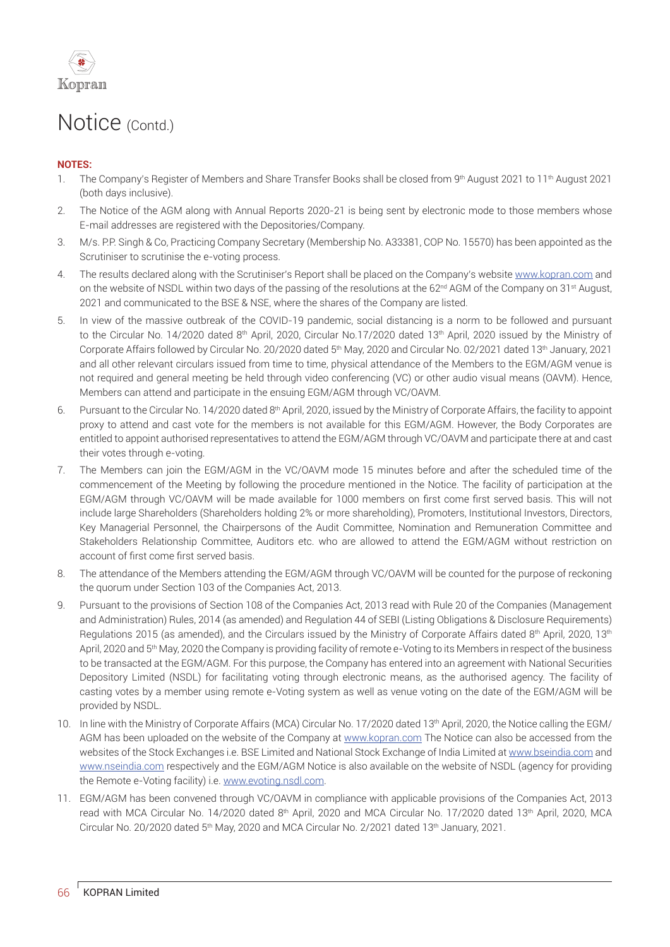

## **NOTES:**

- 1. The Company's Register of Members and Share Transfer Books shall be closed from 9th August 2021 to 11th August 2021 (both days inclusive).
- 2. The Notice of the AGM along with Annual Reports 2020-21 is being sent by electronic mode to those members whose E-mail addresses are registered with the Depositories/Company.
- 3. M/s. P.P. Singh & Co. Practicing Company Secretary (Membership No. A33381, COP No. 15570) has been appointed as the Scrutiniser to scrutinise the e-voting process.
- 4. The results declared along with the Scrutiniser's Report shall be placed on the Company's website www.kopran.com and on the website of NSDL within two days of the passing of the resolutions at the 62<sup>nd</sup> AGM of the Company on 31<sup>st</sup> August, 2021 and communicated to the BSE & NSE, where the shares of the Company are listed.
- 5. In view of the massive outbreak of the COVID-19 pandemic, social distancing is a norm to be followed and pursuant to the Circular No. 14/2020 dated 8<sup>th</sup> April, 2020, Circular No.17/2020 dated 13<sup>th</sup> April, 2020 issued by the Ministry of Corporate Affairs followed by Circular No. 20/2020 dated 5<sup>th</sup> May, 2020 and Circular No. 02/2021 dated 13<sup>th</sup> January, 2021 and all other relevant circulars issued from time to time, physical attendance of the Members to the EGM/AGM venue is not required and general meeting be held through video conferencing (VC) or other audio visual means (OAVM). Hence, Members can attend and participate in the ensuing EGM/AGM through VC/OAVM.
- 6. Pursuant to the Circular No. 14/2020 dated 8<sup>th</sup> April, 2020, issued by the Ministry of Corporate Affairs, the facility to appoint proxy to attend and cast vote for the members is not available for this EGM/AGM. However, the Body Corporates are entitled to appoint authorised representatives to attend the EGM/AGM through VC/OAVM and participate there at and cast their votes through e-voting.
- 7. The Members can join the EGM/AGM in the VC/OAVM mode 15 minutes before and after the scheduled time of the commencement of the Meeting by following the procedure mentioned in the Notice. The facility of participation at the EGM/AGM through VC/OAVM will be made available for 1000 members on first come first served basis. This will not include large Shareholders (Shareholders holding 2% or more shareholding), Promoters, Institutional Investors, Directors, Key Managerial Personnel, the Chairpersons of the Audit Committee, Nomination and Remuneration Committee and Stakeholders Relationship Committee, Auditors etc. who are allowed to attend the EGM/AGM without restriction on account of first come first served basis.
- 8. The attendance of the Members attending the EGM/AGM through VC/OAVM will be counted for the purpose of reckoning the quorum under Section 103 of the Companies Act, 2013.
- 9. Pursuant to the provisions of Section 108 of the Companies Act, 2013 read with Rule 20 of the Companies (Management and Administration) Rules, 2014 (as amended) and Regulation 44 of SEBI (Listing Obligations & Disclosure Requirements) Regulations 2015 (as amended), and the Circulars issued by the Ministry of Corporate Affairs dated 8<sup>th</sup> April, 2020, 13<sup>th</sup> April, 2020 and 5<sup>th</sup> May, 2020 the Company is providing facility of remote e-Voting to its Members in respect of the business to be transacted at the EGM/AGM. For this purpose, the Company has entered into an agreement with National Securities Depository Limited (NSDL) for facilitating voting through electronic means, as the authorised agency. The facility of casting votes by a member using remote e-Voting system as well as venue voting on the date of the EGM/AGM will be provided by NSDL.
- 10. In line with the Ministry of Corporate Affairs (MCA) Circular No. 17/2020 dated 13<sup>th</sup> April, 2020, the Notice calling the EGM/ AGM has been uploaded on the website of the Company at www.kopran.com The Notice can also be accessed from the websites of the Stock Exchanges i.e. BSE Limited and National Stock Exchange of India Limited at www.bseindia.com and www.nseindia.com respectively and the EGM/AGM Notice is also available on the website of NSDL (agency for providing the Remote e-Voting facility) i.e. www.evoting.nsdl.com.
- 11. EGM/AGM has been convened through VC/OAVM in compliance with applicable provisions of the Companies Act, 2013 read with MCA Circular No. 14/2020 dated 8<sup>th</sup> April, 2020 and MCA Circular No. 17/2020 dated 13<sup>th</sup> April, 2020, MCA Circular No. 20/2020 dated 5<sup>th</sup> May, 2020 and MCA Circular No.  $2/2021$  dated 13<sup>th</sup> January, 2021.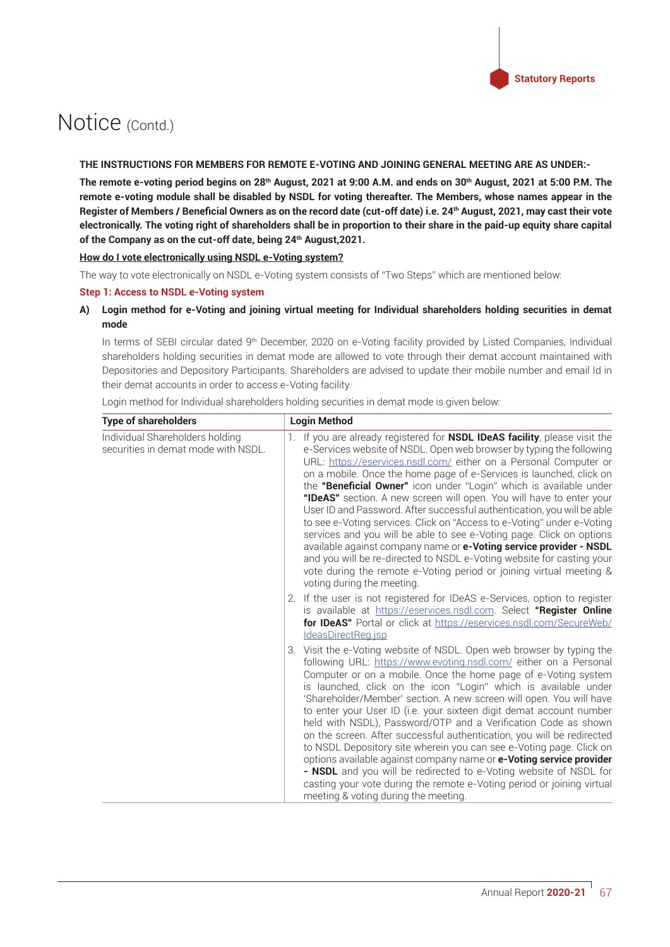#### **THE INSTRUCTIONS FOR MEMBERS FOR REMOTE E-VOTING AND JOINING GENERAL MEETING ARE AS UNDER:-**

The remote e-voting period begins on 28<sup>th</sup> August, 2021 at 9:00 A.M. and ends on 30<sup>th</sup> August, 2021 at 5:00 P.M. The remote e-voting module shall be disabled by NSDL for voting thereafter. The Members, whose names appear in the Register of Members / Beneficial Owners as on the record date (cut-off date) i.e. 24<sup>th</sup> August, 2021, may cast their vote **electronically.** The voting right of shareholders shall be in proportion to their share in the paid-up equity share capital of the Company as on the cut-off date, being 24<sup>th</sup> August, 2021.

#### **How do I vote electronically using NSDL e-Voting system?**

The way to vote electronically on NSDL e-Voting system consists of "Two Steps" which are mentioned below:

#### **Step 1: Access to NSDL e-Voting system**

### A) Login method for e-Voting and joining virtual meeting for Individual shareholders holding securities in demat **mode**

In terms of SEBI circular dated 9<sup>th</sup> December, 2020 on e-Voting facility provided by Listed Companies, Individual shareholders holding securities in demat mode are allowed to vote through their demat account maintained with Depositories and Depository Participants. Shareholders are advised to update their mobile number and email Id in their demat accounts in order to access e-Voting facility.

Login method for Individual shareholders holding securities in demat mode is given below:

| Type of shareholders                                                   | <b>Login Method</b>                                                                                                                                                                                                                                                                                                                                                                                                                                                                                                                                                                                                                                                                                                                                                                                                                                                                                                                      |
|------------------------------------------------------------------------|------------------------------------------------------------------------------------------------------------------------------------------------------------------------------------------------------------------------------------------------------------------------------------------------------------------------------------------------------------------------------------------------------------------------------------------------------------------------------------------------------------------------------------------------------------------------------------------------------------------------------------------------------------------------------------------------------------------------------------------------------------------------------------------------------------------------------------------------------------------------------------------------------------------------------------------|
| Individual Shareholders holding<br>securities in demat mode with NSDL. | If you are already registered for <b>NSDL IDeAS facility</b> , please visit the<br>1.<br>e-Services website of NSDL. Open web browser by typing the following<br>URL: https://eservices.nsdl.com/ either on a Personal Computer or<br>on a mobile. Once the home page of e-Services is launched, click on<br>the "Beneficial Owner" icon under "Login" which is available under<br>"IDeAS" section. A new screen will open. You will have to enter your<br>User ID and Password. After successful authentication, you will be able<br>to see e-Voting services. Click on "Access to e-Voting" under e-Voting<br>services and you will be able to see e-Voting page. Click on options<br>available against company name or e-Voting service provider - NSDL<br>and you will be re-directed to NSDL e-Voting website for casting your<br>vote during the remote e-Voting period or joining virtual meeting &<br>voting during the meeting. |
|                                                                        | 2. If the user is not registered for IDeAS e-Services, option to register<br>is available at https://eservices.nsdl.com. Select "Register Online<br>for IDeAS" Portal or click at https://eservices.nsdl.com/SecureWeb/<br>IdeasDirectReg.jsp                                                                                                                                                                                                                                                                                                                                                                                                                                                                                                                                                                                                                                                                                            |
|                                                                        | 3. Visit the e-Voting website of NSDL. Open web browser by typing the<br>following URL: https://www.evoting.nsdl.com/ either on a Personal<br>Computer or on a mobile. Once the home page of e-Voting system<br>is launched, click on the icon "Login" which is available under<br>'Shareholder/Member' section. A new screen will open. You will have<br>to enter your User ID (i.e. your sixteen digit demat account number<br>held with NSDL), Password/OTP and a Verification Code as shown<br>on the screen. After successful authentication, you will be redirected<br>to NSDL Depository site wherein you can see e-Voting page. Click on<br>options available against company name or e-Voting service provider<br>- NSDL and you will be redirected to e-Voting website of NSDL for<br>casting your vote during the remote e-Voting period or joining virtual<br>meeting & voting during the meeting.                           |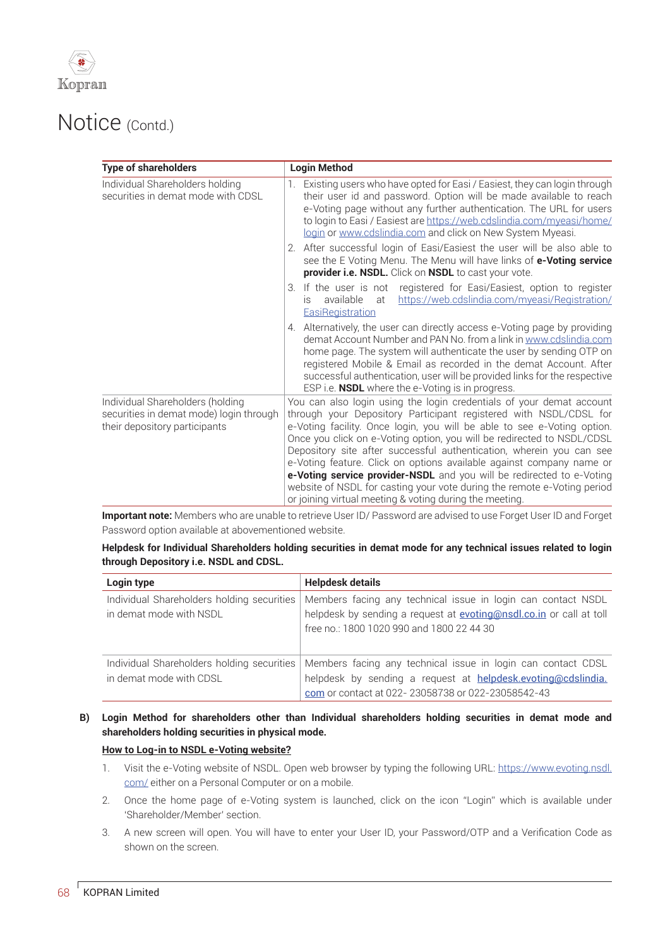

| <b>Type of shareholders</b>                                                                                  | <b>Login Method</b>                                                                                                                                                                                                                                                                                                                                                                                                                                                                                                                                                                                                                                           |
|--------------------------------------------------------------------------------------------------------------|---------------------------------------------------------------------------------------------------------------------------------------------------------------------------------------------------------------------------------------------------------------------------------------------------------------------------------------------------------------------------------------------------------------------------------------------------------------------------------------------------------------------------------------------------------------------------------------------------------------------------------------------------------------|
| Individual Shareholders holding<br>securities in demat mode with CDSL                                        | Existing users who have opted for Easi / Easiest, they can login through<br>their user id and password. Option will be made available to reach<br>e-Voting page without any further authentication. The URL for users<br>to login to Easi / Easiest are https://web.cdslindia.com/myeasi/home/<br>login or www.cdslindia.com and click on New System Myeasi.<br>2. After successful login of Easi/Easiest the user will be also able to<br>see the E Voting Menu. The Menu will have links of e-Voting service<br>provider i.e. NSDL. Click on NSDL to cast your vote.                                                                                        |
|                                                                                                              | 3. If the user is not registered for Easi/Easiest, option to register<br>https://web.cdslindia.com/myeasi/Registration/<br>available<br>at<br>IS.<br>EasiRegistration                                                                                                                                                                                                                                                                                                                                                                                                                                                                                         |
|                                                                                                              | 4. Alternatively, the user can directly access e-Voting page by providing<br>demat Account Number and PAN No. from a link in www.cdslindia.com<br>home page. The system will authenticate the user by sending OTP on<br>registered Mobile & Email as recorded in the demat Account. After<br>successful authentication, user will be provided links for the respective<br>ESP i.e. <b>NSDL</b> where the e-Voting is in progress.                                                                                                                                                                                                                             |
| Individual Shareholders (holding<br>securities in demat mode) login through<br>their depository participants | You can also login using the login credentials of your demat account<br>through your Depository Participant registered with NSDL/CDSL for<br>e-Voting facility. Once login, you will be able to see e-Voting option.<br>Once you click on e-Voting option, you will be redirected to NSDL/CDSL<br>Depository site after successful authentication, wherein you can see<br>e-Voting feature. Click on options available against company name or<br>e-Voting service provider-NSDL and you will be redirected to e-Voting<br>website of NSDL for casting your vote during the remote e-Voting period<br>or joining virtual meeting & voting during the meeting. |

Important note: Members who are unable to retrieve User ID/ Password are advised to use Forget User ID and Forget Password option available at abovementioned website.

Helpdesk for Individual Shareholders holding securities in demat mode for any technical issues related to login **through Depository i.e. NSDL and CDSL.**

| Login type                                                            | <b>Helpdesk details</b>                                                                                                                                                                 |
|-----------------------------------------------------------------------|-----------------------------------------------------------------------------------------------------------------------------------------------------------------------------------------|
| Individual Shareholders holding securities<br>in demat mode with NSDL | Members facing any technical issue in login can contact NSDL<br>helpdesk by sending a request at <b>evoting@nsdl.co.in</b> or call at toll<br>free no.: 1800 1020 990 and 1800 22 44 30 |
| Individual Shareholders holding securities<br>in demat mode with CDSL | Members facing any technical issue in login can contact CDSL<br>helpdesk by sending a request at helpdesk.evoting@cdslindia.<br>com or contact at 022-23058738 or 022-23058542-43       |

### B) Login Method for shareholders other than Individual shareholders holding securities in demat mode and **shareholders holding securities in physical mode.**

### **How to Log-in to NSDL e-Voting website?**

- 1. Visit the e-Voting website of NSDL. Open web browser by typing the following URL: https://www.evoting.nsdl. com/ either on a Personal Computer or on a mobile.
- 2. Once the home page of e-Voting system is launched, click on the icon "Login" which is available under 'Shareholder/Member' section.
- 3. A new screen will open. You will have to enter your User ID, your Password/OTP and a Verification Code as shown on the screen.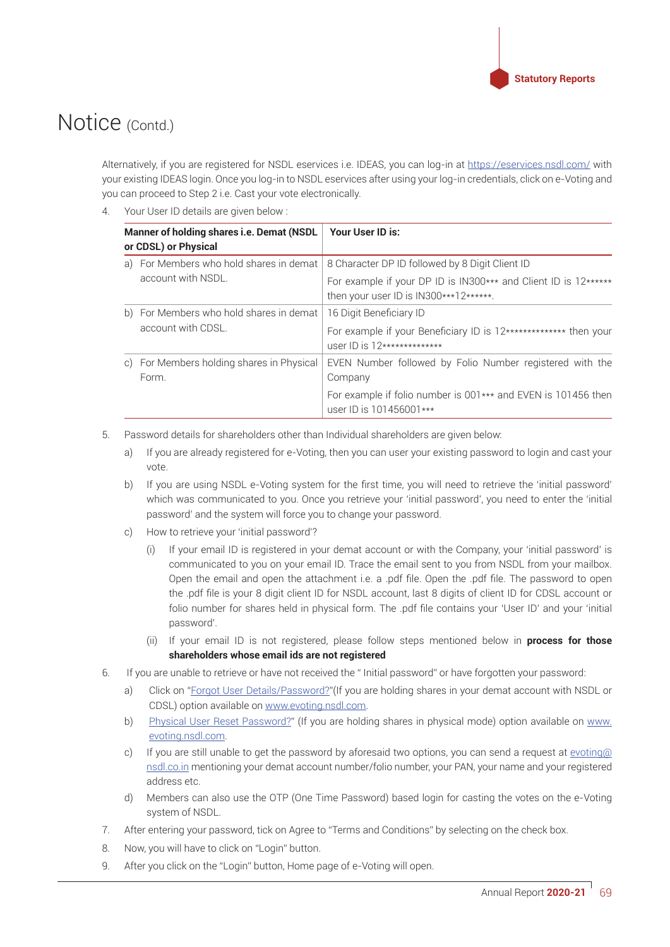

Alternatively, if you are registered for NSDL eservices i.e. IDEAS, you can log-in at https://eservices.nsdl.com/with your existing IDEAS login. Once you log-in to NSDL eservices after using your log-in credentials, click on e-Voting and you can proceed to Step 2 i.e. Cast your vote electronically.

4. Your User ID details are given below:

| Manner of holding shares i.e. Demat (NSDL)<br>or CDSL) or Physical |                                                               | Your User ID is:                                                                                          |
|--------------------------------------------------------------------|---------------------------------------------------------------|-----------------------------------------------------------------------------------------------------------|
|                                                                    | a) For Members who hold shares in demat                       | 8 Character DP ID followed by 8 Digit Client ID                                                           |
|                                                                    | account with NSDL.                                            | For example if your DP ID is IN300*** and Client ID is 12******<br>then your user ID is IN300***12******. |
|                                                                    | b) For Members who hold shares in demat<br>account with CDSL. | 16 Digit Beneficiary ID                                                                                   |
|                                                                    |                                                               | For example if your Beneficiary ID is 12************** then your<br>user $ID$ is $12****************$     |
| C)                                                                 | For Members holding shares in Physical                        | EVEN Number followed by Folio Number registered with the                                                  |
|                                                                    | Form.                                                         | Company                                                                                                   |
|                                                                    |                                                               | For example if folio number is 001*** and EVEN is 101456 then<br>user ID is 101456001***                  |

- 5. Password details for shareholders other than Individual shareholders are given below:
	- a) If you are already registered for e-Voting, then you can user your existing password to login and cast your vote.
	- b) If you are using NSDL e-Voting system for the first time, you will need to retrieve the 'initial password' which was communicated to you. Once you retrieve your 'initial password', you need to enter the 'initial password' and the system will force you to change your password.
	- c) How to retrieve your 'initial password'?
		- $(i)$  If your email ID is registered in your demat account or with the Company, your 'initial password' is communicated to you on your email ID. Trace the email sent to you from NSDL from your mailbox. Open the email and open the attachment i.e. a .pdf file. Open the .pdf file. The password to open the .pdf file is your 8 digit client ID for NSDL account, last 8 digits of client ID for CDSL account or folio number for shares held in physical form. The .pdf file contains your 'User ID' and your 'initial password'.
		- (ii) If your email ID is not registered, please follow steps mentioned below in **process for those shareholders whose email ids are not registered**
- 6. If you are unable to retrieve or have not received the "Initial password" or have forgotten your password:
	- a) Click on "Forgot User Details/Password?"(If you are holding shares in your demat account with NSDL or CDSL) option available on www.evoting.nsdl.com.
	- b) Physical User Reset Password?" (If you are holding shares in physical mode) option available on www. evoting.nsdl.com.
	- c) If you are still unable to get the password by aforesaid two options, you can send a request at  $\frac{evoting@}{P}$ nsdl.co.in mentioning your demat account number/folio number, your PAN, your name and your registered address etc.
	- d) Members can also use the OTP (One Time Password) based login for casting the votes on the e-Voting system of NSDL.
- 7. After entering your password, tick on Agree to "Terms and Conditions" by selecting on the check box.
- 8. Now, you will have to click on "Login" button.
- 9. After you click on the "Login" button, Home page of e-Voting will open.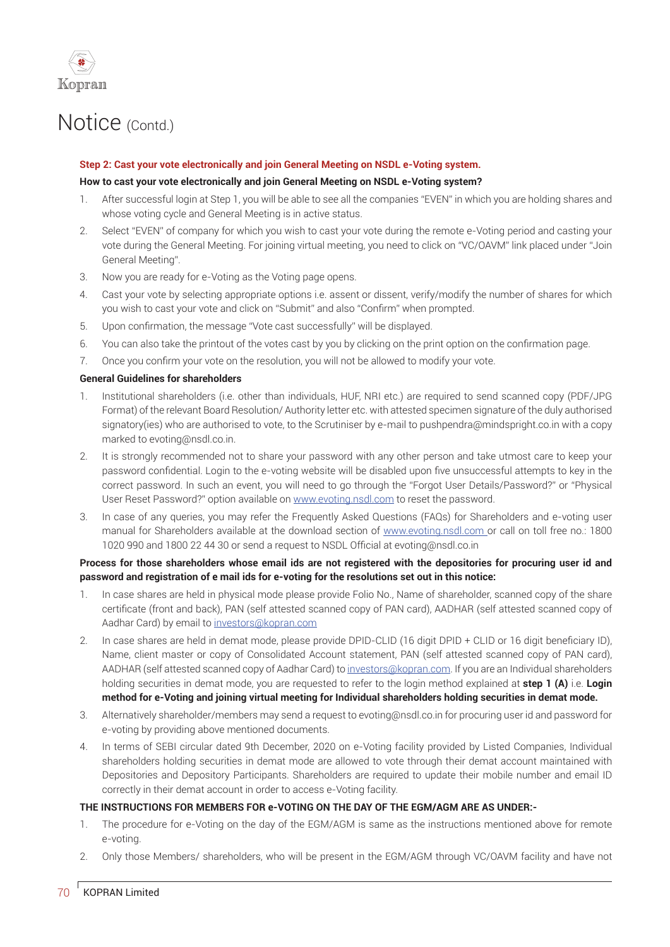

#### **Step 2: Cast your vote electronically and join General Meeting on NSDL e-Voting system.**

#### How to cast your vote electronically and join General Meeting on NSDL e-Voting system?

- 1. After successful login at Step 1, you will be able to see all the companies "EVEN" in which you are holding shares and whose voting cycle and General Meeting is in active status.
- 2. Select "EVEN" of company for which you wish to cast your vote during the remote e-Voting period and casting your vote during the General Meeting. For joining virtual meeting, you need to click on "VC/OAVM" link placed under "Join General Meeting".
- 3. Now you are ready for e-Voting as the Voting page opens.
- 4. Cast your vote by selecting appropriate options i.e. assent or dissent, verify/modify the number of shares for which you wish to cast your vote and click on "Submit" and also "Confirm" when prompted.
- 5. Upon confirmation, the message "Vote cast successfully" will be displayed.
- 6. You can also take the printout of the votes cast by you by clicking on the print option on the confirmation page.
- 7. Once you confirm your vote on the resolution, you will not be allowed to modify your vote.

#### **General Guidelines for shareholders**

- 1. Institutional shareholders (i.e. other than individuals, HUF, NRI etc.) are required to send scanned copy (PDF/JPG Format) of the relevant Board Resolution/Authority letter etc. with attested specimen signature of the duly authorised signatory(ies) who are authorised to vote, to the Scrutiniser by e-mail to pushpendra@mindspright.co.in with a copy marked to evoting@nsdl.co.in.
- 2. It is strongly recommended not to share your password with any other person and take utmost care to keep your password confidential. Login to the e-voting website will be disabled upon five unsuccessful attempts to key in the correct password. In such an event, you will need to go through the "Forgot User Details/Password?" or "Physical User Reset Password?" option available on www.evoting.nsdl.com to reset the password.
- 3. In case of any queries, you may refer the Frequently Asked Questions (FAQs) for Shareholders and e-voting user manual for Shareholders available at the download section of www.evoting.nsdl.com or call on toll free no.: 1800 1020 990 and 1800 22 44 30 or send a request to NSDL Official at evoting@nsdl.co.in

### **Process for those shareholders whose email ids are not registered with the depositories for procuring user id and**  password and registration of e mail ids for e-voting for the resolutions set out in this notice:

- 1. In case shares are held in physical mode please provide Folio No., Name of shareholder, scanned copy of the share certificate (front and back), PAN (self attested scanned copy of PAN card), AADHAR (self attested scanned copy of Aadhar Card) by email to investors@kopran.com
- 2. In case shares are held in demat mode, please provide DPID-CLID (16 digit DPID + CLID or 16 digit beneficiary ID), Name, client master or copy of Consolidated Account statement, PAN (self attested scanned copy of PAN card), AADHAR (self attested scanned copy of Aadhar Card) to investors@kopran.com. If you are an Individual shareholders holding securities in demat mode, you are requested to refer to the login method explained at **step 1 (A)** i.e. **Login**  method for e-Voting and joining virtual meeting for Individual shareholders holding securities in demat mode.
- 3. Alternatively shareholder/members may send a request to evoting@nsdl.co.in for procuring user id and password for e-voting by providing above mentioned documents.
- 4. In terms of SEBI circular dated 9th December, 2020 on e-Voting facility provided by Listed Companies, Individual shareholders holding securities in demat mode are allowed to vote through their demat account maintained with Depositories and Depository Participants. Shareholders are required to update their mobile number and email ID correctly in their demat account in order to access e-Voting facility.

#### **THE INSTRUCTIONS FOR MEMBERS FOR e-VOTING ON THE DAY OF THE EGM/AGM ARE AS UNDER:-**

- 1. The procedure for e-Voting on the day of the EGM/AGM is same as the instructions mentioned above for remote e-voting.
- 2. Only those Members/ shareholders, who will be present in the EGM/AGM through VC/OAVM facility and have not